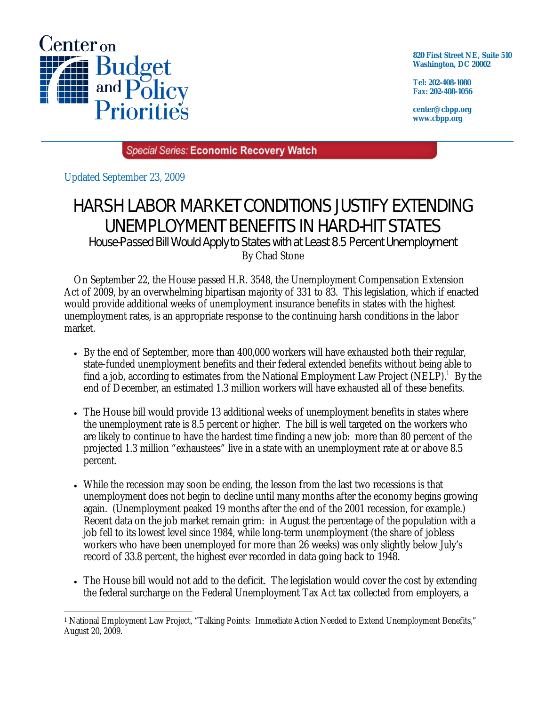

**820 First Street NE, Suite 510 Washington, DC 20002** 

**Tel: 202-408-1080 Fax: 202-408-1056** 

**center@cbpp.org www.cbpp.org** 

Special Series: Economic Recovery Watch

Updated September 23, 2009

## HARSH LABOR MARKET CONDITIONS JUSTIFY EXTENDING UNEMPLOYMENT BENEFITS IN HARD-HIT STATES

House-Passed Bill Would Apply to States with at Least 8.5 Percent Unemployment By Chad Stone

 On September 22, the House passed H.R. 3548, the Unemployment Compensation Extension Act of 2009, by an overwhelming bipartisan majority of 331 to 83. This legislation, which if enacted would provide additional weeks of unemployment insurance benefits in states with the highest unemployment rates, is an appropriate response to the continuing harsh conditions in the labor market.

- By the end of September, more than 400,000 workers will have exhausted both their regular, state-funded unemployment benefits and their federal extended benefits without being able to find a job, according to estimates from the National Employment Law Project (NELP).<sup>1</sup> By the end of December, an estimated 1.3 million workers will have exhausted all of these benefits.
- The House bill would provide 13 additional weeks of unemployment benefits in states where the unemployment rate is 8.5 percent or higher. The bill is well targeted on the workers who are likely to continue to have the hardest time finding a new job: more than 80 percent of the projected 1.3 million "exhaustees" live in a state with an unemployment rate at or above 8.5 percent.
- While the recession may soon be ending, the lesson from the last two recessions is that unemployment does not begin to decline until many months after the economy begins growing again. (Unemployment peaked 19 months after the end of the 2001 recession, for example.) Recent data on the job market remain grim: in August the percentage of the population with a job fell to its lowest level since 1984, while long-term unemployment (the share of jobless workers who have been unemployed for more than 26 weeks) was only slightly below July's record of 33.8 percent, the highest ever recorded in data going back to 1948.
- The House bill would not add to the deficit. The legislation would cover the cost by extending the federal surcharge on the Federal Unemployment Tax Act tax collected from employers, a

<sup>-</sup>1 National Employment Law Project, "Talking Points: Immediate Action Needed to Extend Unemployment Benefits," August 20, 2009.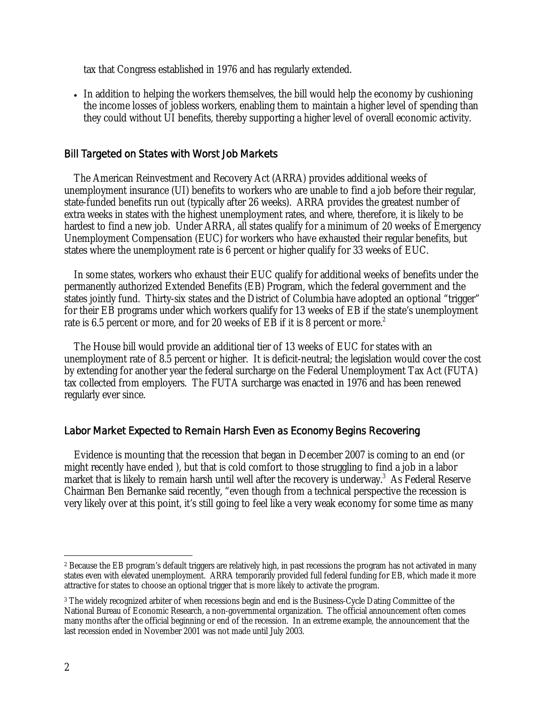tax that Congress established in 1976 and has regularly extended.

• In addition to helping the workers themselves, the bill would help the economy by cushioning the income losses of jobless workers, enabling them to maintain a higher level of spending than they could without UI benefits, thereby supporting a higher level of overall economic activity.

## Bill Targeted on States with Worst Job Markets

 The American Reinvestment and Recovery Act (ARRA) provides additional weeks of unemployment insurance (UI) benefits to workers who are unable to find a job before their regular, state-funded benefits run out (typically after 26 weeks). ARRA provides the greatest number of extra weeks in states with the highest unemployment rates, and where, therefore, it is likely to be hardest to find a new job. Under ARRA, all states qualify for a minimum of 20 weeks of Emergency Unemployment Compensation (EUC) for workers who have exhausted their regular benefits, but states where the unemployment rate is 6 percent or higher qualify for 33 weeks of EUC.

In some states, workers who exhaust their EUC qualify for additional weeks of benefits under the permanently authorized Extended Benefits (EB) Program, which the federal government and the states jointly fund. Thirty-six states and the District of Columbia have adopted an optional "trigger" for their EB programs under which workers qualify for 13 weeks of EB if the state's unemployment rate is 6.5 percent or more, and for 20 weeks of EB if it is 8 percent or more.<sup>2</sup>

The House bill would provide an additional tier of 13 weeks of EUC for states with an unemployment rate of 8.5 percent or higher. It is deficit-neutral; the legislation would cover the cost by extending for another year the federal surcharge on the Federal Unemployment Tax Act (FUTA) tax collected from employers. The FUTA surcharge was enacted in 1976 and has been renewed regularly ever since.

## Labor Market Expected to Remain Harsh Even as Economy Begins Recovering

 Evidence is mounting that the recession that began in December 2007 is coming to an end (or might recently have ended ), but that is cold comfort to those struggling to find a job in a labor market that is likely to remain harsh until well after the recovery is underway.<sup>3</sup> As Federal Reserve Chairman Ben Bernanke said recently, "even though from a technical perspective the recession is very likely over at this point, it's still going to feel like a very weak economy for some time as many

 $\overline{a}$ <sup>2</sup> Because the EB program's default triggers are relatively high, in past recessions the program has not activated in many states even with elevated unemployment. ARRA temporarily provided full federal funding for EB, which made it more attractive for states to choose an optional trigger that is more likely to activate the program.

<sup>3</sup> The widely recognized arbiter of when recessions begin and end is the Business-Cycle Dating Committee of the National Bureau of Economic Research, a non-governmental organization. The official announcement often comes many months after the official beginning or end of the recession. In an extreme example, the announcement that the last recession ended in November 2001 was not made until July 2003.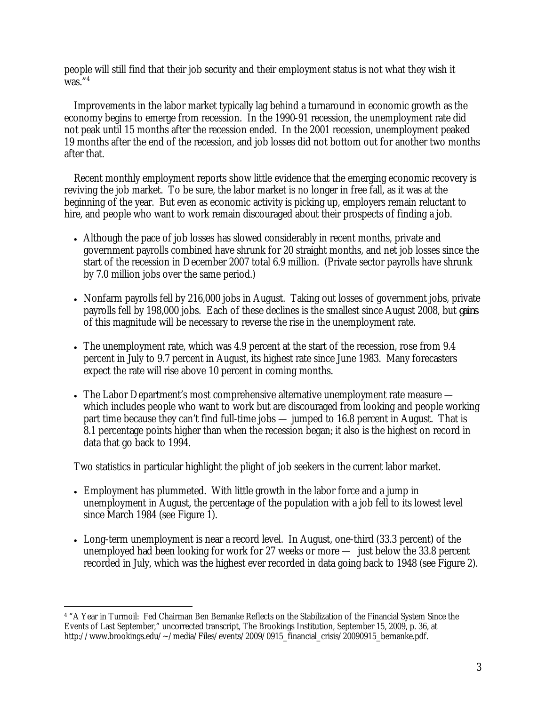people will still find that their job security and their employment status is not what they wish it  $\sqrt{was}$ .  $4$ 

Improvements in the labor market typically lag behind a turnaround in economic growth as the economy begins to emerge from recession. In the 1990-91 recession, the unemployment rate did not peak until 15 months after the recession ended. In the 2001 recession, unemployment peaked 19 months after the end of the recession, and job losses did not bottom out for another two months after that.

Recent monthly employment reports show little evidence that the emerging economic recovery is reviving the job market. To be sure, the labor market is no longer in free fall, as it was at the beginning of the year. But even as economic activity is picking up, employers remain reluctant to hire, and people who want to work remain discouraged about their prospects of finding a job.

- Although the pace of job losses has slowed considerably in recent months, private and government payrolls combined have shrunk for 20 straight months, and net job losses since the start of the recession in December 2007 total 6.9 million. (Private sector payrolls have shrunk by 7.0 million jobs over the same period.)
- Nonfarm payrolls fell by 216,000 jobs in August. Taking out losses of government jobs, private payrolls fell by 198,000 jobs. Each of these declines is the smallest since August 2008, but *gains* of this magnitude will be necessary to reverse the rise in the unemployment rate.
- The unemployment rate, which was 4.9 percent at the start of the recession, rose from 9.4 percent in July to 9.7 percent in August, its highest rate since June 1983. Many forecasters expect the rate will rise above 10 percent in coming months.
- The Labor Department's most comprehensive alternative unemployment rate measure which includes people who want to work but are discouraged from looking and people working part time because they can't find full-time jobs — jumped to 16.8 percent in August. That is 8.1 percentage points higher than when the recession began; it also is the highest on record in data that go back to 1994.

Two statistics in particular highlight the plight of job seekers in the current labor market.

- Employment has plummeted. With little growth in the labor force and a jump in unemployment in August, the percentage of the population with a job fell to its lowest level since March 1984 (see Figure 1).
- Long-term unemployment is near a record level. In August, one-third (33.3 percent) of the unemployed had been looking for work for 27 weeks or more — just below the 33.8 percent recorded in July, which was the highest ever recorded in data going back to 1948 (see Figure 2).

 $\overline{a}$ 4 "A Year in Turmoil: Fed Chairman Ben Bernanke Reflects on the Stabilization of the Financial System Since the Events of Last September," uncorrected transcript, The Brookings Institution, September 15, 2009, p. 36, at http://www.brookings.edu/~/media/Files/events/2009/0915\_financial\_crisis/20090915\_bernanke.pdf.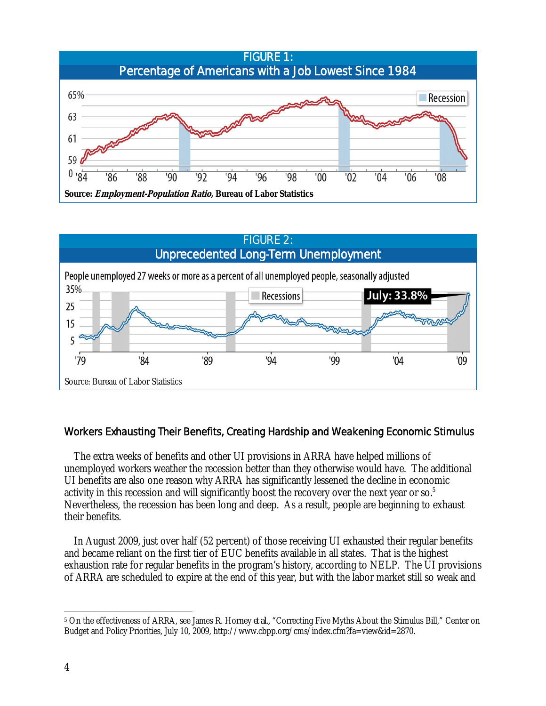



## Workers Exhausting Their Benefits, Creating Hardship and Weakening Economic Stimulus

The extra weeks of benefits and other UI provisions in ARRA have helped millions of unemployed workers weather the recession better than they otherwise would have. The additional UI benefits are also one reason why ARRA has significantly lessened the decline in economic activity in this recession and will significantly boost the recovery over the next year or so. $5$ Nevertheless, the recession has been long and deep. As a result, people are beginning to exhaust their benefits.

In August 2009, just over half (52 percent) of those receiving UI exhausted their regular benefits and became reliant on the first tier of EUC benefits available in all states. That is the highest exhaustion rate for regular benefits in the program's history, according to NELP. The UI provisions of ARRA are scheduled to expire at the end of this year, but with the labor market still so weak and

 $\overline{a}$ <sup>5</sup> On the effectiveness of ARRA, see James R. Horney *et al.*, "Correcting Five Myths About the Stimulus Bill," Center on Budget and Policy Priorities, July 10, 2009, http://www.cbpp.org/cms/index.cfm?fa=view&id=2870.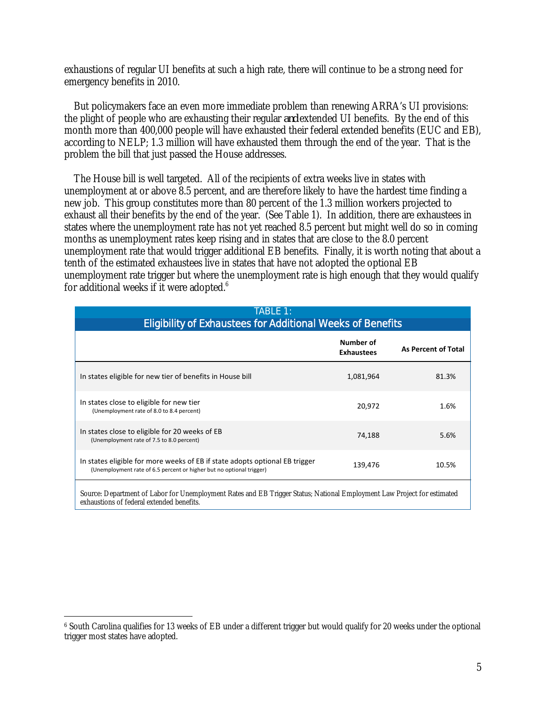exhaustions of regular UI benefits at such a high rate, there will continue to be a strong need for emergency benefits in 2010.

But policymakers face an even more immediate problem than renewing ARRA's UI provisions: the plight of people who are exhausting their regular *and* extended UI benefits. By the end of this month more than 400,000 people will have exhausted their federal extended benefits (EUC and EB), according to NELP; 1.3 million will have exhausted them through the end of the year. That is the problem the bill that just passed the House addresses.

The House bill is well targeted. All of the recipients of extra weeks live in states with unemployment at or above 8.5 percent, and are therefore likely to have the hardest time finding a new job. This group constitutes more than 80 percent of the 1.3 million workers projected to exhaust all their benefits by the end of the year. (See Table 1). In addition, there are exhaustees in states where the unemployment rate has not yet reached 8.5 percent but might well do so in coming months as unemployment rates keep rising and in states that are close to the 8.0 percent unemployment rate that would trigger additional EB benefits. Finally, it is worth noting that about a tenth of the estimated exhaustees live in states that have not adopted the optional EB unemployment rate trigger but where the unemployment rate is high enough that they would qualify for additional weeks if it were adopted. $6$ 

| <b>TABLE 1:</b><br><b>Eligibility of Exhaustees for Additional Weeks of Benefits</b>                                                                |                                |                            |  |
|-----------------------------------------------------------------------------------------------------------------------------------------------------|--------------------------------|----------------------------|--|
|                                                                                                                                                     | Number of<br><b>Exhaustees</b> | <b>As Percent of Total</b> |  |
| In states eligible for new tier of benefits in House bill                                                                                           | 1,081,964                      | 81.3%                      |  |
| In states close to eligible for new tier<br>(Unemployment rate of 8.0 to 8.4 percent)                                                               | 20,972                         | 1.6%                       |  |
| In states close to eligible for 20 weeks of EB<br>(Unemployment rate of 7.5 to 8.0 percent)                                                         | 74,188                         | 5.6%                       |  |
| In states eligible for more weeks of EB if state adopts optional EB trigger<br>(Unemployment rate of 6.5 percent or higher but no optional trigger) | 139,476                        | 10.5%                      |  |
| Source: Department of Labor for Unemployment Rates and EB Trigger Status; National Employment Law Project for estimated                             |                                |                            |  |

exhaustions of federal extended benefits.

 $\overline{a}$ 6 South Carolina qualifies for 13 weeks of EB under a different trigger but would qualify for 20 weeks under the optional trigger most states have adopted.